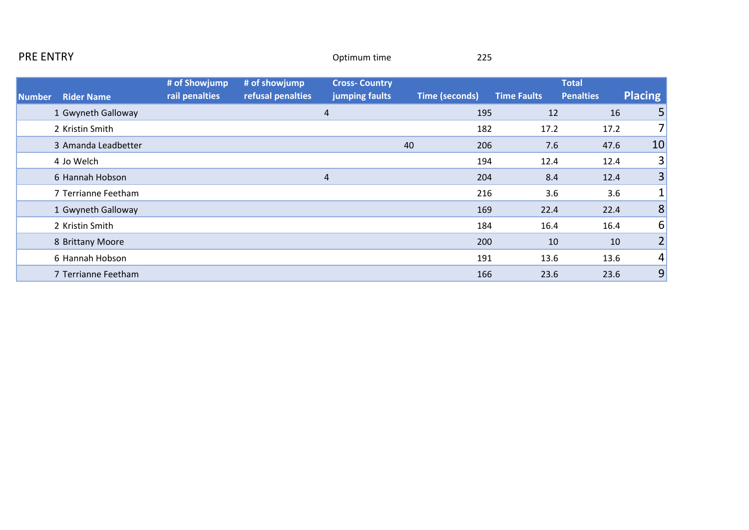| <b>PRE ENTRY</b> |                     |                                 |                                    | Optimum time                           |    | 225                   |                    |                                  |                   |
|------------------|---------------------|---------------------------------|------------------------------------|----------------------------------------|----|-----------------------|--------------------|----------------------------------|-------------------|
| <b>Number</b>    | <b>Rider Name</b>   | # of Showjump<br>rail penalties | # of showjump<br>refusal penalties | <b>Cross-Country</b><br>jumping faults |    | <b>Time (seconds)</b> | <b>Time Faults</b> | <b>Total</b><br><b>Penalties</b> | <b>Placing</b>    |
|                  | 1 Gwyneth Galloway  |                                 |                                    | 4                                      |    | 195                   | 12                 | 16                               | 5                 |
|                  | 2 Kristin Smith     |                                 |                                    |                                        |    | 182                   | 17.2               | 17.2                             | 7                 |
|                  | 3 Amanda Leadbetter |                                 |                                    |                                        | 40 | 206                   | 7.6                | 47.6                             | 10                |
|                  | 4 Jo Welch          |                                 |                                    |                                        |    | 194                   | 12.4               | 12.4                             | $\lvert 3 \rvert$ |
|                  | 6 Hannah Hobson     |                                 |                                    | 4                                      |    | 204                   | 8.4                | 12.4                             | 3                 |
|                  | 7 Terrianne Feetham |                                 |                                    |                                        |    | 216                   | 3.6                | 3.6                              | 1                 |
|                  | 1 Gwyneth Galloway  |                                 |                                    |                                        |    | 169                   | 22.4               | 22.4                             | 8                 |
|                  | 2 Kristin Smith     |                                 |                                    |                                        |    | 184                   | 16.4               | 16.4                             | 6                 |
|                  | 8 Brittany Moore    |                                 |                                    |                                        |    | 200                   | 10                 | 10                               | $\overline{2}$    |
|                  | 6 Hannah Hobson     |                                 |                                    |                                        |    | 191                   | 13.6               | 13.6                             | $\vert 4 \vert$   |
|                  | 7 Terrianne Feetham |                                 |                                    |                                        |    | 166                   | 23.6               | 23.6                             | 9                 |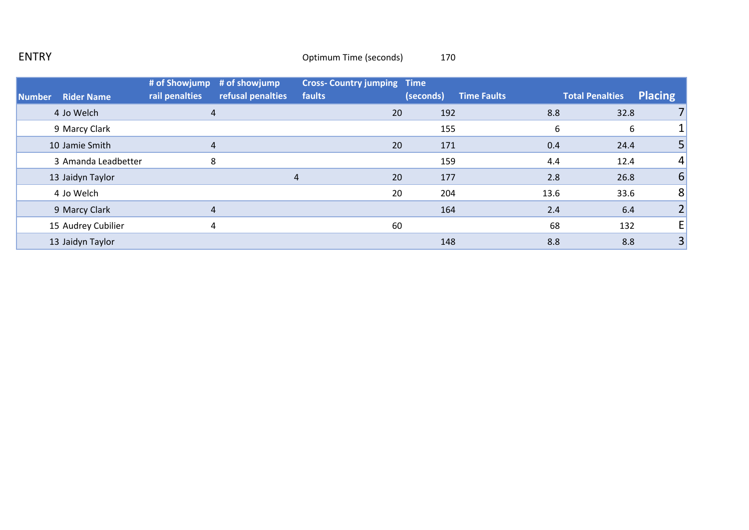## ENTRY **ENTRY** 270

|        |                     | # of Showjump  | # of showjump     | <b>Cross- Country jumping Time</b> |           |                    |      |                        |                |
|--------|---------------------|----------------|-------------------|------------------------------------|-----------|--------------------|------|------------------------|----------------|
| Number | <b>Rider Name</b>   | rail penalties | refusal penalties | faults                             | (seconds) | <b>Time Faults</b> |      | <b>Total Penalties</b> | <b>Placing</b> |
|        | 4 Jo Welch          | 4              |                   | 20                                 |           | 192                | 8.8  | 32.8                   |                |
|        | 9 Marcy Clark       |                |                   |                                    |           | 155                | 6    | 6                      |                |
|        | 10 Jamie Smith      | 4              |                   | 20                                 |           | 171                | 0.4  | 24.4                   |                |
|        | 3 Amanda Leadbetter | 8              |                   |                                    |           | 159                | 4.4  | 12.4                   | 4              |
|        | 13 Jaidyn Taylor    |                | 4                 | 20                                 |           | 177                | 2.8  | 26.8                   | 6              |
|        | 4 Jo Welch          |                |                   |                                    | 20        | 204                | 13.6 | 33.6                   | 8              |
|        | 9 Marcy Clark       |                |                   |                                    |           | 164                | 2.4  | 6.4                    |                |
|        | 15 Audrey Cubilier  | 4              |                   | 60                                 |           |                    | 68   | 132                    | E              |
|        | 13 Jaidyn Taylor    |                |                   |                                    |           | 148                | 8.8  | 8.8                    | 3              |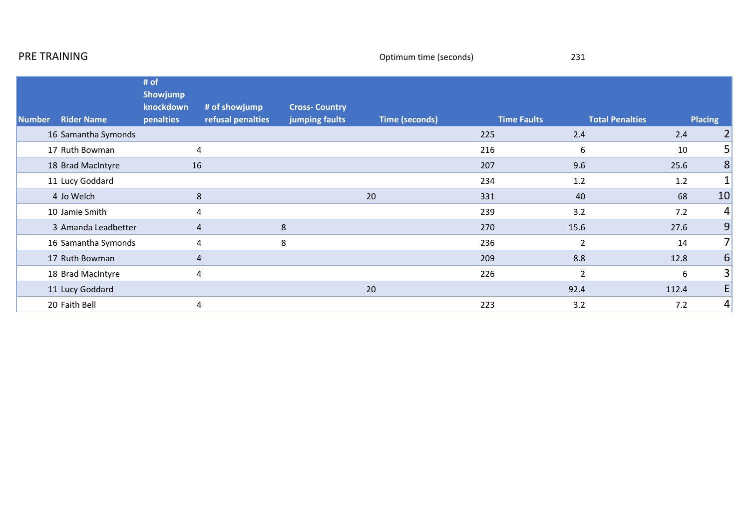|               | PRE TRAINING        |                                            |                                    |                                        | Optimum time (seconds) |                    | 231                    |       |                  |
|---------------|---------------------|--------------------------------------------|------------------------------------|----------------------------------------|------------------------|--------------------|------------------------|-------|------------------|
| <b>Number</b> | <b>Rider Name</b>   | # of<br>Showjump<br>knockdown<br>penalties | # of showjump<br>refusal penalties | <b>Cross-Country</b><br>jumping faults | <b>Time (seconds)</b>  | <b>Time Faults</b> | <b>Total Penalties</b> |       | <b>Placing</b>   |
|               | 16 Samantha Symonds |                                            |                                    |                                        |                        | 225                | 2.4                    | 2.4   | 2                |
|               | 17 Ruth Bowman      | 4                                          |                                    |                                        |                        | 216                | 6                      | 10    | 5                |
|               | 18 Brad MacIntyre   | 16                                         |                                    |                                        |                        | 207                | 9.6                    | 25.6  | 8                |
|               | 11 Lucy Goddard     |                                            |                                    |                                        |                        | 234                | 1.2                    | 1.2   | 1                |
|               | 4 Jo Welch          | 8                                          |                                    |                                        | 20                     | 331                | 40                     | 68    | 10               |
|               | 10 Jamie Smith      | $\overline{4}$                             |                                    |                                        |                        | 239                | 3.2                    | 7.2   | 4                |
|               | 3 Amanda Leadbetter | 4                                          |                                    | 8                                      |                        | 270                | 15.6                   | 27.6  | 9                |
|               | 16 Samantha Symonds |                                            | 4                                  | 8                                      |                        | 236                | $\overline{2}$         | 14    | 7 <sup>1</sup>   |
|               | 17 Ruth Bowman      | 4                                          |                                    |                                        |                        | 209                | 8.8                    | 12.8  | $\boldsymbol{6}$ |
|               | 18 Brad MacIntyre   |                                            | 4                                  |                                        |                        | 226                | $\overline{2}$         | 6     | 3                |
|               | 11 Lucy Goddard     |                                            |                                    |                                        | 20                     |                    | 92.4                   | 112.4 | E                |
|               | 20 Faith Bell       | 4                                          |                                    |                                        |                        | 223                | 3.2                    | 7.2   | 4                |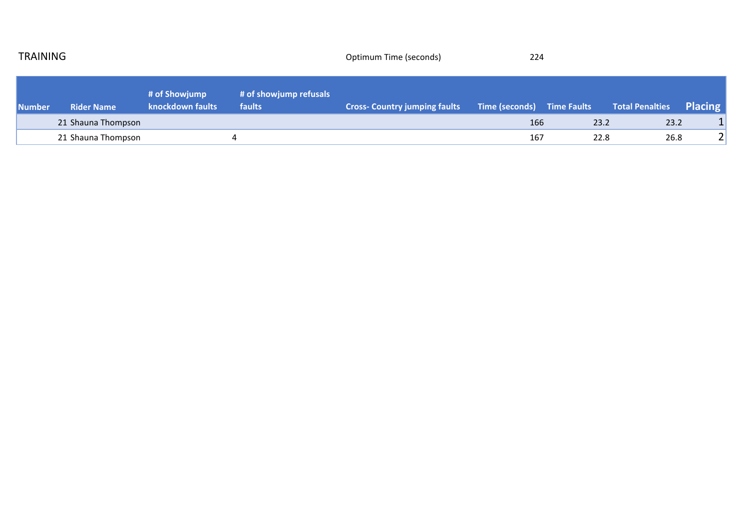| <b>TRAINING</b> |                    |                                   | Optimum Time (seconds)           | 224                                  |                            |      |                        |                |
|-----------------|--------------------|-----------------------------------|----------------------------------|--------------------------------------|----------------------------|------|------------------------|----------------|
| Number          | <b>Rider Name</b>  | # of Showjump<br>knockdown faults | # of showjump refusals<br>faults | <b>Cross- Country jumping faults</b> | Time (seconds) Time Faults |      | <b>Total Penalties</b> | <b>Placing</b> |
|                 | 21 Shauna Thompson |                                   |                                  |                                      | 166                        | 23.2 | 23.2                   |                |
|                 | 21 Shauna Thompson |                                   |                                  |                                      | 167                        | 22.8 | 26.8                   | $\overline{2}$ |